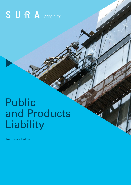# SURA SPECIALTY

# Public and Products Liability

Insurance Policy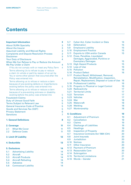# **Contents**

| <b>Important Information</b>                                                | 3              |  |  |
|-----------------------------------------------------------------------------|----------------|--|--|
| <b>About SURA Specialty</b>                                                 | 3              |  |  |
| <b>About the Insurer</b>                                                    |                |  |  |
| <b>Assumed Liability and Waived Rights</b>                                  |                |  |  |
| <b>Complaints and Dispute Resolution Process</b>                            |                |  |  |
| <b>Disclaimer</b>                                                           | 3              |  |  |
| <b>Your Duty of Disclosure</b>                                              | 4              |  |  |
| When We Can Refuse to Pay or Reduce the Amount                              |                |  |  |
| We Pay Under a Claim                                                        | 4              |  |  |
| If You do not comply with or meet any Policy Term                           | 4              |  |  |
| Terms allowing Us to refuse to pay or reduce                                |                |  |  |
| a claim (in whole or part) by reason of an act by                           |                |  |  |
| You or some other person that occurred after the<br>Policy was entered into | $\overline{4}$ |  |  |
| Terms allowing us to refuse or reduce a claim                               |                |  |  |
| because of pre-existing defects or imperfections                            |                |  |  |
| existing before the policy was entered into                                 |                |  |  |
| Terms allowing us to refuse or reduce a claim                               |                |  |  |
| because of a pre-existing sickness or disability                            |                |  |  |
| existing before the policy was entered into                                 |                |  |  |
| <b>Fraudulent Claims</b>                                                    |                |  |  |
| <b>Duty of Utmost Good Faith</b>                                            |                |  |  |
| <b>Terms Subject to Relevant Law</b>                                        |                |  |  |
| <b>General Insurance Code of Practice</b>                                   |                |  |  |
| <b>Goods and Services Tax (GST)</b>                                         |                |  |  |
| <b>Privacy Statement</b>                                                    | 6              |  |  |
| <b>Sanctions</b>                                                            | 7              |  |  |
| <b>1. General Definitions</b>                                               | 8              |  |  |
|                                                                             |                |  |  |
| 2. Coverage                                                                 | 11             |  |  |
| 2.1<br><b>What We Cover</b>                                                 | 11             |  |  |
| 2.2<br><b>Defence Costs</b>                                                 | 11             |  |  |
|                                                                             |                |  |  |
| <b>3. Limit Of Liability</b><br>12                                          |                |  |  |
| <b>4. Deductible</b>                                                        | 13             |  |  |
| <b>5. Exclusions</b>                                                        | 14             |  |  |
| 5.1<br><b>Advertising Liability</b>                                         | 14             |  |  |
| 5.2<br>Aircraft                                                             | 14             |  |  |
| 5.3<br><b>Aircraft Products</b>                                             | 14             |  |  |
| 5.4<br><b>Aircraft Refueling</b>                                            | 14             |  |  |
| 5.5<br><b>Asbestos</b>                                                      | 14             |  |  |
| 5.6<br><b>Contractual Liability</b>                                         | 14             |  |  |
|                                                                             |                |  |  |

|                      | 5.7      | <b>Cyber Act, Cyber Incident or Data</b>     | 14 |
|----------------------|----------|----------------------------------------------|----|
|                      | 5.8      | <b>Defamation</b>                            | 15 |
|                      | 5.9      | <b>Employers Liability</b>                   | 15 |
|                      | 5.10     | <b>Employment Practice</b>                   | 15 |
|                      | 5.11     | <b>Exports to USA and/or Canada</b>          | 15 |
|                      | 5.12     | Fines, Penalties, Liquidated                 |    |
|                      |          | Damages, Aggravated, Punitive or             |    |
|                      |          | <b>Exemplary Damages</b>                     | 15 |
|                      | 5.13     | <b>High Hazard Products</b>                  | 15 |
|                      |          | 5.14 Loss of Use                             | 16 |
|                      |          | 5.15 Pollution                               | 16 |
|                      |          | 5.16 Product Defect                          | 16 |
|                      |          | 5.17 Product Recall, Withdrawal, Removal,    |    |
|                      |          | Reinstallation, Modification, Inspection,    |    |
|                      |          | Repair, Replacement, Disposal or Loss of Use | 16 |
|                      | 5.18     | <b>Professional Liability</b>                | 16 |
|                      | 5.19     | <b>Property in Physical or Legal Control</b> | 16 |
|                      |          | 5.20 Radioactivity                           | 17 |
|                      |          | 5.21 Territorial Limits                      | 17 |
|                      |          | 5.22 Terrorism                               | 17 |
|                      |          | 5.23 Vehicles                                | 17 |
|                      | 5.24 War |                                              | 18 |
|                      |          | 5.25 Watercraft                              | 18 |
|                      |          | 5.26 Welding                                 | 18 |
|                      |          | 5.27 Workmanship                             | 18 |
| <b>6. Conditions</b> |          |                                              | 19 |
|                      | 6.1      | <b>Adjustment of Premium</b>                 | 19 |
|                      | 6.2      | <b>Cancellation</b>                          | 19 |
|                      | 6.3      | <b>Claims</b>                                | 19 |
|                      | 6.4      | <b>Discharge of Liabilities</b>              | 19 |
|                      | 6.5      | <b>Headings</b>                              | 19 |
|                      | 6.6      | <b>Inspection of Property</b>                | 20 |
|                      | 6.7      | <b>Insurance Contracts Act 1984 (Cth)</b>    | 20 |
|                      | 6.8      | <b>Joint Insureds</b>                        | 20 |
|                      | 6.9      | <b>Jurisdiction</b>                          | 20 |
|                      | 6.10     | <b>Notices</b>                               | 20 |
|                      | 6.11     | <b>Other Insurance</b>                       | 20 |
|                      | 6.12     | <b>Payment of Premium</b>                    | 20 |
|                      | 6.13     | <b>Reasonable Care</b>                       | 20 |
|                      | 6.14     | Subrogation                                  | 21 |
|                      | 6.15     | <b>Territorial Limitations</b>               | 21 |
|                      | 6.16     | <b>Words - Gender</b>                        | 21 |
|                      |          |                                              |    |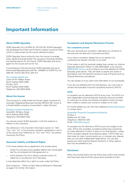# <span id="page-2-0"></span>**Important Information**

### **About SURA Specialty**

SURA Specialty Pty Ltd ABN 34 125 318 247 (SURA Specialty) has developed this Public and Products Liability Insurance Policy which is underwritten by the insurer referred to below.

SURA Specialty has an authority from the insurer to arrange, enter into/bind and administer this insurance (including handling and settling claims) for the insurer. SURA Specialty acts as an agent for the insurer and not for You.

In providing any financial services SURA Specialty acts as an Authorised Representative (AR No: 1255891) of SURA Pty Ltd ABN 36 115 672 350 AFSL 294 313.

### Our contact details are:

Level 14/141 Walker Street North Sydney NSW 2060 PO Box 1813 North Sydney NSW 2059 Telephone: (02) 9930 9500

### **About the Insurer**

This insurance is underwritten by Sompo Japan Insurance Inc. Australian Registered Business Number 000 837 801 which is a limited liability company incorporated in Japan (Sompo).

### Sompo's contact details are:

Suite 602, 50 Berry Street North Sydney NSW 2060 Telephone: (02) 9030 3702

You should contact SURA Specialty in the first instance in relation to this insurance.

Any reference in this Important Information section to "We", "Our" and "Us" in this provision (whether capitalised or not) is to the insurer and a reference to "You" and "Your" any person insured by the Policy.

# **Assumed Liability and Waived Rights**

If You have entered into an agreement with another party:

- where You are assuming a greater liability than would apply had You not entered into that agreement; or
- − which prevents You from taking a recovery action for indemnity or contribution from that party,

it may adversely affect Your rights to cover under the Policy.

See Conditions – "When a Claim May be Refused or Reduced" on page 4 for further information.

### **Complaints and Dispute Resolution Process**

### **Our complaints process**

We view seriously any complaint made about our products or services and will deal with it promptly and fairly.

If you have a complaint, please first try to resolve it by contacting the relevant member of our staff.

If the matter is still not resolved, please then contact our Internal Disputes Resolution Officer on (02) 9930 9500, or by email at [IDR@SURA.com.au](mailto:IDR%40SURA.com.au?subject=) or by writing to us at the address for SURA Specialty given above. They will seek to resolve the matter in accordance with the General Insurance Code of Practice and our Dispute Resolution procedures.

You can contact us if you want more information on our procedures.

If you are not satisfied with the final decision, you may wish to contact the Australian Financial Complaints Authority (AFCA).

### **AFCA**

A complaint can be referred to AFCA at any time. The AFCA is a free independent external disputes resolution service provided to customers to review and resolve complaints where we have been unable to satisfy your concerns, subject to its rules.

For further details you can visit their website at [www.afca.org.au](http://www.afca.org.au) or contact them:

### Australian Financial Complaints Authority PO Box 3 Melbourne VIC 3001

Telephone: 1800 931 678 Email: [info@afca.org.au](mailto:info%40afca.org.au?subject=)

A complaint can be referred to AFCA at any time subject to its rules. AFCA only considers complaints (otherwise covered by its rules) referred to it within 2 years of our final decision, unless AFCA considers special circumstances apply. If AFCA tells you that under its rules it cannot assist you or consider your dispute, then you can seek independent legal advice. You can also access any other external dispute resolution or other options that may be available to you.

### **Disclaimer**

When the Insured enters into the Policy they confirm and warrant that they have read the Policy documents provided to them.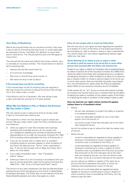### <span id="page-3-0"></span>**Your Duty of Disclosure**

Before the Insured enters into an insurance contract, they have a duty to tell Us of anything that they know, or could reasonably be expected to know, may affect Our decision to insure them and on what terms. The Insured has this duty until We agree to insure them.

The Insured has the same duty before they renew, extend, vary, or reinstate an insurance contract. The Insured does not need to tell Us anything that:

- reduces the risk We insure them for:
- is of common knowledge;
- We know or should know as an insurer; or
- We waive the duty to tell Us about.

### **If the Insured does not tell Us something**

If the Insured does not tell Us anything they are required to, We may cancel the contract or reduce the amount We will pay You if You make a claim, or both.

If the failure to tell Us is fraudulent, We may refuse to pay a claim and treat the contract as if it never existed.

# **When We Can Refuse to Pay or Reduce the Amount We Pay Under a Claim**

We may refuse to pay or reduce the amount we pay under a claim to the extent permitted by law.

The situations in which we may refuse to pay or reduce the amount We pay under a claim under the Policy include (but are not limited to):

- a) when you apply for cover (this includes new business, variations and renewals) and you do not comply with your obligations regarding pre contractual disclosures and representations to us under the Insurance Contracts Act 1984 (Cth) (including where applicable the Duty of Disclosure); or
- b) if you do not comply with or meet a term or condition (including where an exclusion applies or other limitation) of the Policy (All referred to as "Terms" when used below) – See "If You Do Not Comply with or Meet Any Policy Term" below for more detail;
- c) if you make a fraudulent claim See "Fraudulent Claims" below;
- d) where you have not or are not acting in accordance with your duty of utmost good faith under the Insurance Contracts Act 1984 (Cth) – See "Duty of Utmost Good Faith" below.

The amount of any claim entitlement can also be affected and/or reduced by any limits (including any time limits) or Deductibles/ Excess(es) that apply. The Policy sets out the relevant limits and Deductibles/Excess(es) and when they apply to a claim.

#### **If You do not comply with or meet any Policy Term**

We will only rely on any rights we have regarding the operation of or breach of a Term of the Policy to the extent permitted by law (including our right to refuse or reduce a claim noted above). You need to seek your own advice regarding all relevant legal rights you may have.

## **Terms allowing Us to refuse to pay or reduce a claim (in whole or part) by reason of an act by You or some other person that occurred after the Policy was entered into**

Subject to our rights in relation to Fraudulent claims explained below. by reason of section 54 of the Insurance Contracts Act (1984) (Cth), where the effect of the Policy (this includes all terms or conditions, including any exclusion or other limitation) is to allow Us to refuse to pay or reduce a claim (in whole or part) by reason of an act by you or some other person that occurred after the policy was entered into, we will exercise Our rights under the Policy as explained below (Refer to the Insurance Contracts Act for full details).

Under section 54, an "act" by you or some other person includes an omission and inaction and an act or omission that has the effect of altering the state or condition of the subject-matter of the Policy or of allowing the state or condition of that subject-matter to alter.

# **How we exercise our rights where section 54 applies (unless there is a Fraudulent claim)**

- Where:
	- the act was necessary to protect the safety of a person or to preserve property;
	- it was not reasonably possible for you or the other person not to do the act; or
	- you prove no part of the loss that gave rise to the claim was caused by the act,

we will not refuse to pay or reduce the claim by reason only of that act.

- Where the act:
	- could not reasonably be regarded as being capable of causing or contributing to a loss in respect of which insurance cover is provided by the Policy; or
	- could reasonably be regarded as being capable of causing or contributing to a loss in respect of which insurance cover is provided by the Policy but you prove that some part of the loss that gave rise to the claim was not caused by the act, we may not refuse to pay the claim, so far as it concerns that part of the loss but,

we can reduce our liability in respect of the claim by an amount that fairly represents the extent to which our interests were prejudiced as a result of that act.

Where the act could reasonably be regarded as being capable of causing or contributing to a loss in respect of which insurance cover is provided by the Policy, we may refuse to pay the claim.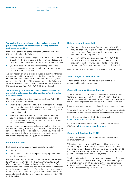# <span id="page-4-0"></span>**Terms allowing us to refuse or reduce a claim because of pre-existing defects or imperfections existing before the policy was entered into**

Only where section 46 of the Insurance Contracts Act 1984 (Cth) is applicable to the Policy:

- where a claim is made in respect of a loss that occurred as a result, in whole or in part, of a defect or imperfection in a thing and at the time when the contract was entered into; and
- you were not aware of, and a reasonable person in the circumstances could not be expected to have been aware of, the defect or imperfection,

we may not rely on any provision included in the Policy that has the effect of limiting or excluding our liability under the contract by reference to the condition, at a time before the Policy was entered into, of the thing. This does not apply if the Policy is in an excluded class to which section 46 does not apply. (Refer to the Insurance Contracts Act 1984 (Cth) for full details).

### **Terms allowing us to refuse or reduce a claim because of a pre-existing sickness or disability existing before the policy was entered into**

Only where section 47 of the Insurance Contracts Act 1984 (Cth) is applicable to the Policy:

- where a claim under the Policy is made in respect of a loss that occurred as a result, in whole or in part, of a sickness or disability to which a person was subject or had at any time been subject; and
- where, at the time when the contract was entered into, you were not aware of, and a reasonable person in the circumstances could not be expected to have been aware of, the sickness or disability,

we may not rely on a provision included in the Policy that has the effect of limiting or excluding our liability under the Policy by reference to the sickness or disability to which you were subject at a time before the Policy was entered into. (Refer to the Insurance Contracts Act 1984 (Cth) for full details).

# **Fraudulent Claims**

In all cases, where a claim is made fraudulently under:

- the Policy; or
- the Insurance Contracts Act against Us by a person who is not the insured,

we may refuse payment of the claim to the extent permitted by law. Under section 56(2) of the Insurance Contracts Act 1984 (Cth) a court may, if only a minimal or insignificant part of the claim is made fraudulently and non-payment of the remainder of the claim would be harsh and unfair, order us to pay, in relation to the claim, such amount (if any) as is just and equitable in the circumstances. (Refer to the Insurance Contracts Act 1984 (Cth) for full details).

# **Duty of Utmost Good Faith**

- Section 13 of the Insurance Contracts Act 1984 (Cth) requires each party to the Policy to act towards the other party, in respect of any matter arising under or in relation to it, with the utmost good faith.
- Section 14 of the Insurance Contracts Act 1984 (Cth) provides that if reliance by a party to the Policy on a provision of the Policy would be to fail to act with the utmost good faith, the party may not rely on the provision.

(Refer to the Insurance Contracts Act 1984 (Cth) for full details).

### **Terms Subject to Relevant Law**

A term of the Policy will be applied to the extent is not unenforceable under relevant law.

# **General Insurance Code of Practice**

The Insurance Council of Australia Limited has developed the General Insurance Code of Practice ("the Code"), which is a self-regulatory code for use by all insurers. The Code aims to raise the standards of practice and service in the insurance industry.

Sompo Japan Insurance Inc has adopted and endorses the Code.

The Code Governance Committee (CGC) is an independent body that monitors and enforces insurers' compliance with the Code.

For further information on the Code, please visit [www.codeofpractice.com.au](http://www.codeofpractice.com.au)

For more information on the Code Governance Committee (CGC) go to <https://insurancecode.org.au>

### **Goods and Services Tax (GST)**

The amount payable by the Insured for the Policy includes an amount for GST.

When We pay a claim, Your GST status will determine the amount We pay. The amount that We are liable to pay under the Policy will be reduced by the amount of any Input Tax Credit (ITC) that You are or may be entitled to claim for the supply of goods or services covered by that payment.

The Insured must advise Us of their correct Australian Business Number (ABN) and Taxable Percentage. Taxable Percentage is Your entitlement to an ITC on Your premium as a percentage of the total GST on that premium. Any GST liability arising from Your incorrect advice is payable by You.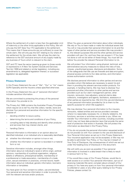<span id="page-5-0"></span>Where the settlement of a claim is less than the applicable Limit of Indemnity or the other limits applicable to this Policy, We will only pay the GST (less Your ITC) applicable to the settlement. This means that if these amounts are not sufficient to cover the whole claim, We will only pay the GST relating to Our share of the settlement for the whole claim. We will pay the claim by reference to the GST exclusive amount of any supply made by any business of Yours which is relevant to the claim.

GST and ITC have the same meaning as given to those words or expressions in A New Tax System (Goods and Services Tax) Act 1999 and related or similar legislation, including any amendments to, delegated legislation thereof, or successor legislation (as applicable).

### **Privacy Statement**

In this Privacy Statement the use of "We", "Our" or "Us" means SURA Specialty and the Insurers unless specified otherwise.

In this Privacy Statement the use of "personal information" includes sensitive information.

We are committed to protecting the privacy of the personal information You provide to Us.

The Privacy Act 1988 contains the Australian Privacy Principles which require Us to tell You that We collect, handle, store and disclose Your personal and sensitive information for the specific purpose of:

- deciding whether to issue a policy,
- determining the terms and conditions of your Policy,
- compiling data to help develop and identify other products and services that may interest clients, and
- handling Claims.

Personal Information is information or an opinion about an identified individual, or an individual who is reasonably identifiable:

- a) whether the information or opinion is true or not;
- b) whether the information or opinion is recorded in a material form or not.

Sensitive information includes, amongst other things, information about an individual's racial or ethnic origin, political opinions, membership of a political organisation, religious beliefs or affiliations, philosophical beliefs, membership of a professional or trade association, membership of a trade union, sexual orientation or practices, criminal record, health information about an individual, genetic information, biometric information or templates.

You have given Us Your consent to collect, use and disclose Your personal and sensitive information in order to provide You with the relevant services and/or products.

When You give us personal information about other individuals, We rely on You to have made or make the individual aware that You will or may provide their personal information to Us and the types of other parties and service providers We may provide it to, the relevant purposes We and the other parties and service providers will use it for, and how they can access it. If You have not done or will not do either of these things, You must tell Us before You provide the relevant Personal Information to Us.

We will protect Your information using physical, technical, and administrative security measures to reduce the risks of loss, misuse, unauthorised access, disclosure and alteration. Some of the safeguards that We use are firewalls and data encryption, physical access controls to Our data centres, and information access authorisation controls.

We disclose personal information to other parties and service providers whom We believe are necessary to assist Us and them in providing the relevant services and/or products. For example, in handling Claims, We may have to disclose Your personal and other information to other parties and service providers such as Our claim management partner, other insurers, reinsurers, loss adjusters, external claims data collectors, investigators and agents, facilitators, assessors or other parties as required by law. We limit the use and disclosure of any personal information provided by Us to them to the specific purpose for which We supplied it.

We may disclose Your personal information to Our insurers, reinsurers, related entities and service providers overseas where it is reasonably necessary for, or directly related to, the functions, services or activities we provide to you. When we transfer Your information to other countries, including countries which may not have data protection laws that provide the same level of protection that exists in Australia, We will protect the information as described in this Privacy Policy.

If You do not provide the personal information requested and/or do not provide Us with Your consent to the use and disclosure of Your Personal Information as set out in this Privacy Statement, Your insurance application may not be accepted, or We may not be able to administer Your Policy, or You may be in breach of Your Duty of Disclosure, the consequences of which are set out under the heading Duty of Disclosure in this document.

We will notify you as soon as possible if Your personal information is involved in a data breach that is likely to result in serious harm to You.

If You would like a copy of Our Privacy Policies, would like to seek access to or correct Your personal information, opt out of receiving materials We send, complain about a breach of Our privacy or You have any query on how Your personal information is collected or used, or any other query relating to Our Privacy Policies, please contact Us.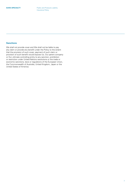# <span id="page-6-0"></span>**Sanctions**

We shall not provide cover and We shall not be liable to pay any claim or provide any benefit under the Policy to the extent that the provision of such cover, payment of such claim or provision of such benefit would expose Us, Our parent company or Our ultimate controlling entity to any sanction, prohibition or restriction under United Nations resolutions or the trade or economic sanctions, laws or regulations of the European Union, the Commonwealth of Australia, United Kingdom, Japan or the United States of America.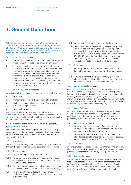# <span id="page-7-0"></span>**1. General Definitions**

When used and capitalised in the Policy, including its Schedule and its endorsements, the following definitions shall apply. Where any word is defined every derivative of that word has a corresponding meaning. References to the singular also include the plural and vice versa.

### 1.1 Act of Terrorism means:

- i. an act which is deemed by the government of the country where such act occurred to be an Act of Terrorism; or
- ii. an act, including but not limited to the use of force or violence and/or threat thereof, of any person or group(s) of persons, whether acting alone or on behalf of or in connection with any organisation(s) or government(s) which from its nature or context is done for, or in connection with, political, religious, ideological, ethnic or similar purposes or reasons, including the intention to influence any government and/ or to put the public, or any section of the public, in fear.

### 1.2 Advertising Liability means:

advertising liability arising out of one or more of the following:

- i. defamation;
- ii. infringement of copyright, trademark, title or slogan;
- iii. unfair competition, misappropriation of advertising ideas or style of doing business;
- iv. invasion of privacy,

committed or alleged to have been committed in any Advertisement of Your Products or services and arising out of any advertising activities conducted by You or on Your behalf, in the course of carrying out Your Business.

For the purposes of the definition of "Advertising Liability", Advertisement means:

any manner of communication given to the public including by way of any form of print media, publication, telecommunication, radio or television broadcast, electronic mail, internet, world wide web or exhibit.

# 1.3 Aircraft means:

any vessel, craft or thing made or intended to fly or move in or through the atmosphere or space, other than model aircraft.

- 1.4 Business means:
- 1.4.1 the business specified in the Schedule;
- 1.4.2 the ownership of premises by You and/or the tenancy of premises by You in order to conduct Your business specified in the Schedule;
- 1.4.3 the provision and management of canteens, social, sports and welfare organisations for the benefit of Your employees;
- 1.4.4 the provision by You of first aid, fire and ambulance services which are incidental to Your business specified in the Schedule;
- 1.4.5 participation at any exhibitions or trade shows; or
- 1.4.6 construction, demolition (excluding any use of explosives), alteration, addition, fit out, maintenance or repair of or to any buildings owned or leased by You and provided that the total cost of all work performed does not exceed \$2,000,000 during the Period of Insurance unless We agree in writing to amend this sum for any specific contract or project prior to such work commencing.
- 1.5 Claim means:
- 1.5.1 the receipt by You of any written or verbal notice of a demand for compensation made by a third party against You; or
- 1.5.2 any writ, statement of claim, summons, application or other originating legal or arbitral process, crossclaim or third or similar party notice served upon You.

### 1.6 Computer System means:

any computer, hardware, software, communications system, electronic device (including, but not limited to, smart phone, laptop, tablet, wearable device), server, cloud or microcontroller including any similar system or any configuration of the aforementioned and including any associated input, output, data storage device, networking equipment or back up facility, owned or operated by the Insured or any other party.

### 1.7 Cyber Act means:

an unauthorised, malicious or criminal act or series of related unauthorised, malicious or criminal acts, regardless of time and place, or the threat or hoax thereof involving access to, processing of, use of or operation of any Computer System.

### 1.8 Cyber Incident means:

- 1.8.1 any error or omission or series of related errors or omissions involving access to, processing of, use of or operation of any Computer System; or
- 1.8.2 any partial or total unavailability or failure or series of related partial or total unavailability or failures to access, process, use or operate any Computer System.

#### 1.9 Data means:

information, facts, concepts, code or any other information of any kind that is recorded or transmitted in a form to be used, accessed, processed, transmitted or stored by a Computer System.

### 1.10 Deductible means:

the deductible specified in the Schedule, which is the amount that You must first bear in respect of any compensation and Defence Costs payable under this Policy in respect of each Occurrence. The Deductible will be advised before You enter into a Policy with Us and will be shown on the Schedule.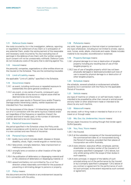### 1.11 Defence Costs means:

the costs incurred by Us in the investigation, defence, reporting or negotiation for settlement of any Claim or in anticipation of any potential Claim, and/or the reimbursement of the reasonable and necessary costs incurred by You (but excluding loss of earnings) in the defence of any Claim with Our written consent (such consent will not be unreasonably withheld). Defence Costs do not include any costs of the party that is claiming against You.

#### 1.12 Insured means:

the person(s), companies, organisations or other entities shown as the insured on the Schedule. They are the contracting insured(s).

#### 1.13 Limit of Liability means:

the applicable "Limit of Liability" specified in the Schedule.

#### 1.14 Occurrence means:

- 1.14.1 an event, including continuous or repeated exposure to substantially the same general conditions; or
- 1.14.2 any event, or any series of events, consequent upon or attributable to one source or original cause shall be deemed to be one Occurrence;

which in either case results in Personal Injury and/or Property Damage and/or Advertising Liability, neither expected nor intended from Your standpoint.

For the purposes of this clause 1.14 Advertising Liability arising out of or in connection with the same injurious material and/or act (regardless of the frequency or repetition thereof, the number and kind of media used, or the number of claimants) shall be deemed to be one Occurrence.

### 1.15 Period of Insurance means:

the period specified in the Schedule unless the Policy ends earlier in accordance with its terms or law. Each renewal results in a new contract and new Period of Insurance.

### 1.16 Personal Injury means:

- 1.16.1 bodily injury (which includes death, disease or illness), disability, shock, fright, mental anguish or mental injury;
- 1.16.2 false arrest, wrongful detention, false imprisonment or malicious prosecution;
- 1.16.3 wrongful entry or eviction or other invasion of the right of privacy;
- 1.16.4 the publication of defamatory or disparaging material and/ or the utterance of defamatory or disparaging material; or
- 1.16.5 assault and battery not committed by You or at Your direction unless reasonably committed for the purpose of preventing or eliminating danger to persons or property.

### 1.17 Policy means:

this document and the Schedule or any endorsement issued by Us in connection with the policy.

### 1.18 Pollutants means:

any solid, liquid, gaseous or thermal irritant or contaminant of any type whatsoever, including but not limited to smoke, vapour, soot, fumes, acids, alkalis, chemicals and waste. Waste includes material to be recycled, reconditioned or reclaimed.

### 1.19 Property Damage means:

- 1.19.1 physical damage to or loss or destruction of tangible property including any resulting loss of use of that tangible property; or
- 1.19.2 loss of use of tangible property which has not been physically damaged or destroyed provided such loss of use is caused by physical damage to or destruction of other tangible property.

### 1.20 Schedule means:

the schedule, renewal schedule or endorsement schedule issued by Us in connection with the Policy for the applicable Period of Insurance.

#### 1.21 Vehicle means:

any type of machine on wheels or on self laid tracks made or intended to be propelled by other than manual or animal power and any trailer or other attachment made or intended to be drawn by any such machine.

#### 1.22 Watercraft means:

any vessel, craft or thing made or intended to float on or in or travel on or through water.

### 1.23 We, Our, Us, Underwriter, Insurer means:

Sompo Japan Insurance Inc acting through their binder agent SURA Specialty.

### 1.24 You, Your, Yours means:

- 1.24.1 the Insured;
- 1.24.2 all the subsidiary companies of the Insured existing at the commencement date of, or incorporated during, the Period of Insurance, provided that their places of incorporation are within Australia;
- 1.24.3 every director, executive officer, employee, partner, shareholder or voluntary worker of the Insured or of a company specified in paragraph 1.24.2 above, but only whilst acting within the scope of their duties in such capacity:
- 1.24.4 every principal, in respect of the liability of such principal arising out of the performance by the Insured or by a company specified in paragraph 1.24.2 above of any contract or agreement for the performance of work for such principal, to the extent required by such contract or agreement;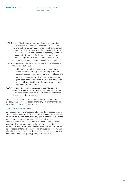- 1.24.5 every office bearer or member of social and sporting clubs, canteen and welfare organisations and first aid, fire and ambulance services formed with the consent of a person or by a company specified in paragraphs 1.24.1, 1.24.2 or 1.24.3 (but not a person or company specified in paragraphs 1.24.4 or 1.24.6), but only in respect of Claims arising from their duties connected with the activities of any such club, organisation or service;
- 1.24.6 each partner, joint venture, co-venture or joint lessee of the Insured but only:
	- i. with respect to liability incurred in connection with activities undertaken by or for the purpose of the partnership, joint venture, co-venture, joint lease; and
	- ii. provided the partnership, joint venture, co- venture, joint lease has been notified to Us within as soon as reasonably practicable after formation and has been endorsed on the Schedule;
- 1.24.7 any director or senior executive of the Insured or a company specified in paragraph 1.24.2 above, in respect of private work undertaken by Your employees for such director or senior executive.

You, Your, Yours does not include the interest of any other person, company, organisation and/or any entity other than as described in 1.24.1 to 1.24.7 above.

### 1.25 Your Products means:

any goods, products or property after they have ceased to be in Your possession or under Your control which are, or are deemed by law to have been, manufactured, grown, extracted, produced, processed, assembled, constructed, erected, installed, altered, repaired, serviced, treated, renovated, sold, supplied, distributed, imported or exported by You or on Your behalf including labels, packaging or any container thereof, the design, specification or formula of the goods, products or property and directions, instructions or advice given or omitted to be given in connection with such goods, products or property.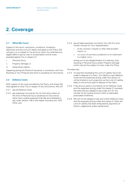# <span id="page-10-0"></span>**2. Coverage**

### **2.1 What We Cover**

Subject to the terms, exclusions, conditions, limitations, definitions and the Limit of Liability that apply to the Policy, We will pay to or on behalf of You all sums which You shall become legally liable to pay by way of compensation and all costs awarded against You in respect of:

- i. Personal Injury;
- ii. Property Damage; or
- iii. Advertising Liability,

happening during the Period of Insurance, in connection with Your Business or Your Products and which is caused by an Occurrence.

# **2.2 Defence Costs**

With respect to the cover provided by the Policy, and where We have agreed to cover You in respect of any Occurrence, We will:

- 2.2.1 pay all Defence Costs;
- 2.2.2 pay expenses incurred by You for first aid to others at the time of Personal Injury caused by an Occurrence (other than medical expenses that We are prohibited to pay under Section 126 of the Health Insurance Act 1973 (Cth)); and
- 2.2.3 pay all legal expenses incurred by You with Our prior written consent for Your representation:
	- i. at any coroner's inquest or other fatal accident inquiry; or
	- ii. in a court of summary jurisdiction or an indictment in a higher court,

arising out of any alleged breach of a statutory duty resulting in Personal Injury and/or Property Damage which may be the subject of cover under the Policy.

Provided that:

- 2.2.4 if a payment exceeding the Limit of Liability has to be made to dispose of a Claim, Our liability to pay Defence Costs and the expenses arising under this clause 2.2 will be limited to such proportion as the Limit of Liability bears to the amount paid to dispose of the Claim;
- 2.2.5 if the amount paid or incurred by Us for Defence Costs and the expenses arising under this clause 2.2 exceeds the share We are obliged to pay under (2.2.4), You will pay Us the excess amount within a reasonably practicable timeframe;
- 2.2.6 We will not be obliged to pay any further Defence Costs and the expenses arising under this clause 2.2 after the Limit of Liability has been exhausted by payments of Claims, judgements and/or settlements.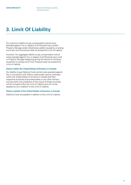# <span id="page-11-0"></span>**3. Limit Of Liability**

Our maximum liability to pay compensation and all costs awarded against You in respect of all Personal Injury and/or Property Damage and/or Advertising Liability caused by or arising out of any one Occurrence shall not exceed the Limit of Liability.

However, Our aggregate liability to pay compensation and all costs awarded against You in respect of all Personal Injury and/ or Property Damage happening during the Period of Insurance caused by or arising out of Your Products shall not exceed the Limit of Liability.

# **Claims within the United States of America or Canada**

Our liability to pay Defence Costs and all costs awarded against You in connection with Claims made and/or actions instituted within the United States of America or Canada and their respective territories and protectorates or any other territory coming within the jurisdiction of the courts of these countries, will be included within the Limit of Liability and will not be payable by Us in addition to the Limit of Liability.

### **Claims outside of the United States of America or Canada**

Defence Costs are payable in addition to the Limit of Liability.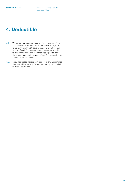# <span id="page-12-0"></span>**4. Deductible**

- 4.1. Where We have agreed to cover You in respect of any Occurrence the amount of the Deductible is payable to Us by You within 30 days of the date of notification by You of each Occurrence, unless We agree in writing to extend this period or We otherwise agree to reduce the amount We pay in respect of the Occurrence by the amount of the Deductible.
- 4.2. Should coverage not apply in respect of any Occurrence, then We will return any Deductible paid by You in relation to such Occurrence.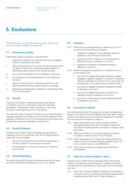# <span id="page-13-0"></span>**5. Exclusions**

The Policy does not, and We will not, cover You for any actual or alleged liability in respect of:

# **5.1 Advertising Liability**

Advertising Liability caused by or resulting from:

- i. statements made at Your direction with the knowledge that such statements are false;
- ii. failure of performance of contract, but this exclusion shall not apply to Claims for unauthorised appropriation of advertising ideas contrary to an implied contract;
- iii. any incorrect description of Your Products or services;
- iv. any mistake in the advertised price of Your Products or services;
- v. failure of Your Products or services to conform with advertised performance, quality, fitness or durability;
- vi. advertising, broadcasting, publishing or telecasting when this is Your Business.

# **5.2 Aircraft**

Personal Injury and/or Property Damage arising directly or indirectly out of or in connection with the ownership, possession, maintenance, repair, operation or use of any Aircraft or hovercraft by You or on Your behalf.

This exclusion does not apply to Personal Injury and/or Property Damage caused by or arising out of the internal cleaning of any stationary Aircraft by You or on Your behalf, but only where such Aircraft are not owned, operated or used by You.

# **5.3 Aircraft Products**

Personal Injury and/or Property Damage arising directly or indirectly out of or in connection with Your Products that are used with Your knowledge:

- i. as Aircraft component parts used for maintaining an Aircraft in flight or moving upon the ground;
- ii. for incorporation into the hull, controls or machinery of an Aircraft.

# **5.4 Aircraft Refueling**

Personal Injury and/or Property Damage caused by or arising out of the refueling of Aircraft by You or on Your behalf.

### **5.5 Asbestos**

- 5.5.1 Personal Injury arising directly or indirectly out of or in connection with any actual or alleged:
	- i. inhalation or ingestion of any asbestos fibre(s) or asbestos in any form by any person(s);
	- ii. exposure or fear of exposure of any person(s) to asbestos fibre(s) or asbestos in any form;
	- iii. presence or existence of asbestos fibre(s) or asbestos in any form.
- 5.5.2 Property Damage arising directly or indirectly out of or in connection with:
	- i. any actual or alleged discharge, dispersal, release, seepage, migration, escape or movement of asbestos fibre(s) or asbestos in any form into or upon land, the atmosphere or any water course or body of water;
	- ii. any actual or alleged exposure to asbestos fibre(s) or asbestos in any form;
	- iii. any actual or alleged presence or existence of asbestos fibre(s) or asbestos in any form;
	- iv. any of Your Products that contain asbestos fibre(s) or asbestos in any form.

### **5.6 Contractual Liability**

Any liability assumed by You under any contract or agreement except to the extent that such liability would have been implied by law in the absence of such contract or agreement. Provided that this exclusion 5.6 does not apply to:

- 5.6.1 liability assumed by You under any lease of real or personal property, other than any liability arising from Your failure to effect property insurance if required under such lease;
- 5.6.2 liability assumed by You under a warranty of fitness or quality in respect of any of Your Products;
- 5.6.3 liability assumed by You under any contract (other than a lease of real or personal property) entered into by You with a contract value of up to \$200,000;
- 5.6.4 those written contracts or agreements specified in the Schedule.

### **5.7 Cyber Act, Cyber Incident or Data**

Personal Injury and/or Property Damage and/or Advertising Liability of whatsoever nature directly or indirectly caused by, contributed to by, resulting from, arising out of or in connection with any:

5.7.1 Cyber Act or Cyber Incident including, but not limited to, any action taken in controlling, preventing, suppressing or remediating any Cyber Act or Cyber Incident; or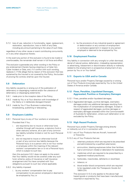<span id="page-14-0"></span>5.7.2 loss of use, reduction in functionality, repair, replacement, restoration, reproduction, loss or theft of any Data, including any amount pertaining to the value of such Data;

regardless of any other cause or event contributing concurrently or in any other sequence thereto.

In the event any portion of this exclusion is found to be invalid or unenforceable, the remainder shall remain in full force and effect.

This exclusion supersedes any other wording in the Policy or any endorsement thereto having a bearing on a Cyber Act, Cyber Incident or Data, and, if in conflict with such wording, replaces it. If We allege that by reason of this exclusion that loss sustained by the Insured is not covered by the Policy, the burden of proving the contrary shall be upon the Insured.

# **5.8 Defamation**

Any liability caused by or arising out of the publication of defamatory or disparaging material and/or the utterance of defamatory or disparaging statements:

- 5.8.1 made prior to the inception date of the Policy;
- 5.8.2 made by You or at Your direction with knowledge of the falsity or in deliberate disregard thereof;
- 5.8.3 made by You if Your Business is advertising, broadcasting, publishing or telecasting.

# **5.9 Employers Liability**

- 5.9.1 Personal Injury to any of Your workers or employees. Provided that if You:
	- i. are required by law to insure or otherwise fund, whether through self insurance, a statutory fund or other statutory scheme, all or part of any common law liability (whether limited or not) for such Personal Injury; or
	- ii. are not required to insure or otherwise fund all or part of any common law liability because the Personal Injury is to a person who is not Your worker or employee within the meaning of the relevant workers' compensation law or is not a Personal Injury which is subject to such law;

then this exclusion 5.9.1 does not apply to the extent that Your liability would not be covered under any such fund, scheme, policy of insurance or self insurance arrangement and You have complied with Your obligations pursuant to such law where applicable.

- 5.9.2 Any liability imposed:
	- i. by any workers' compensation law to pay compensation to any person employed or deemed to be employed by You; or

ii. by the provisions of any industrial award or agreement or determination or any contract of employment or workplace agreement in respect to any person employed or deemed to be employed by You.

# **5.10 Employment Practice**

Any liability in connection with any wrongful or unfair dismissal, denial of natural justice, defamation, misleading representation or advertising, harassment or discrimination directly or indirectly related to the employment or prospective employment of any person by You or on Your behalf.

### **5.11 Exports to USA and/or Canada**

Personal Injury and/or Property Damage caused by or arising out of Your Products knowingly exported by You to the United States of America and/or Canada.

# **5.12 Fines, Penalties, Liquidated Damages, Aggravated, Punitive or Exemplary Damages**

- 5.12.1 Fines, penalties and/or liquidated damages;
- 5.12.2 Aggravated damages, punitive damages, exemplary damages and/or any additional damages resulting from the multiplication of compensatory damages. Except in respect of aggravated damages, punitive damages or exemplary damages awarded within the Commonwealth of Australia for defamation, where such defamation is not excluded by the Policy.

# **5.13 High Hazard Products**

Personal Injury and/or Property Damage arising directly or indirectly out of or in connection with:

- 5.13.1 any of Your Products that are Aircraft, hovercraft or fireworks;
- 5.13.2 any of Your Products that are:
	- i. veterinary products which are required to be prescribed and administered by a qualified veterinarian;
	- ii. ammunition, blasting explosives (other than fertiliser, fuel or ammonium nitrate) or detonators for explosives;
	- iii. medicines which are required to be prescribed by a registered medical practitioner;
	- iv. herbicides, insecticides, defoliants or stockfeed;
	- v. tobacco; or
	- vi. blood and/or blood components which are required to be regulated under the Therapeutic Goods Act 1989 (Cth).

This exclusion 5.13.2 only applies to the above high hazard goods or products that have been manufactured, imported or exported by You;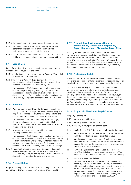- <span id="page-15-0"></span>5.13.3 the manufacture, storage or use of fireworks by You;
- 5.13.4 the manufacture of ammunition, blasting explosives (other than fertiliser, fuel or ammonium nitrate), herbicides, insecticides or defoliants by You;
- 5.13.5 any of Your Products that are Vehicles (other than trailers) that have been manufactured, imported or exported by You.

# **5.14 Loss of Use**

Loss of use of tangible property which has not been physically damaged or destroyed resulting from:

- 5.14.1 a delay in or lack of performance by You or on Your behalf of any contract or agreement;
- 5.14.2 the failure of Your Products to meet the level of performance, quality, fitness or durability expressly or impliedly warranted or represented by You.

This exclusion 5.14.2 does not apply to the loss of use of other tangible property resulting from the sudden, unexpected and unintended physical damage to or destruction of Your Products after such Products have been put to use by any person or organisation other than You.

# **5.15 Pollution**

5.15.1 Personal Injury and/or Property Damage caused by or arising out of the discharge, dispersal, release, seepage, migration or escape of Pollutants into or upon land, the atmosphere, or any water course or body of water.

> This exclusion 5.15.1 does not apply if the discharge, dispersal, release or escape is sudden, identifiable, unexpected and unintended and takes place in its entirety at a specific time and place.

5.15.2 Any costs and expenses incurred in the removing, nullifying or clean-up of Pollutants.

> This exclusion 5.15.2 does not apply to clean-up, removal or nullifying expenses only, which are consequent upon a sudden, identifiable, unexpected, unintended happening taking place in its entirety at a specific time and place which results in Personal Injury and/or Property Damage.

5.15.3 The actual, alleged or threatened discharge, dispersal, release, seepage, migration or escape of Pollutants caused by any of Your Products that have been discarded, dumped, abandoned or thrown away by others.

# **5.16 Product Defect**

Property Damage to Your Products if the damage is attributed to any defect in them or to their harmful nature or unsuitability.

# **5.17 Product Recall, Withdrawal, Removal, Reinstallation, Modification, Inspection, Repair, Replacement, Disposal or Loss of Use**

Liability for damages, costs or expenses for the recall, withdrawal, removal, reinstallation, modification, inspection, repair, replacement, disposal or loss of use of Your Products or of any property of which Your Products form a part, if such products or property are withdrawn from the market or from use because of any known or suspected defect, deficiency, inadequacy or dangerous condition in them.

### **5.18 Professional Liability**

Personal Injury and/or Property Damage caused by or arising out of the rendering of or failure to render professional advice or service by You or any error or omission connected therewith.

This exclusion 5.18 only applies where such professional advice or service is given for a fee and constitutes advice or service within the professional capacity of an accountant, auditor, architect, engineer and/or a building or land surveyor, legal practitioner, medical practitioner or other health service provider, real estate agent, veterinary practitioner, or holder of an Australian financial services license including an authorised representative of an Australian financial services license holder.

### **5.19 Property in Physical or Legal Control**

Property Damage to:

- 5.19.1 property owned by You;
- 5.19.2 property leased or rented to You; or

5.19.3 property in Your physical or legal control.

Exclusions 5.19.2 and 5.19.3 do not apply to Property Damage to:

- i. premises or part of premises (including landlord's fixtures and fittings) which are leased or rented to You;
- ii. premises (including the contents of such premises) not owned by You or leased or rented to You but temporarily occupied by You for the purpose of carrying out work in connection with the Business;
- iii. any Vehicle (not belonging to or used by You) whilst such Vehicle is in a car park owned or operated by You, provided that You do not operate the car park for reward;
- iv. property of Your employees;
- v. any customer's Vehicle (not belonging to or leased or rented by You) whilst being driven by You in connection with the repair, maintenance or servicing of such Vehicle by You. Our maximum liability under this clause v. to pay compensation and all costs awarded against You in respect of Property Damage caused by or arising out of any one Occurrence shall not exceed \$200,000.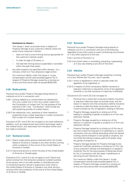### <span id="page-16-0"></span>**Exclusions to clause v**

This clause v. does not provide cover in respect of Property Damage to any customer's Vehicle where the driver of any customer's Vehicle:

- does not hold a current driving licence appropriate for the customer's Vehicle; and/or
- is under the age of 25 years; or
- has had their driving licence suspended or cancelled within the past three years;
- vi. any other property not specified within clauses i. to v. inclusive, which is in Your physical or legal control.

Our maximum liability under this clause vi. to pay compensation and all costs awarded against You in respect of Property Damage caused by or arising out of any one Occurrence shall not exceed \$200,000.

# **5.20 Radioactivity**

Personal Injury and/or Property Damage arising directly or indirectly out of or in connection with:

- 5.20.1 ionising radiations or contamination by radioactivity from any nuclear fuel or from any nuclear waste from the Combustion of nuclear fuel. For the purpose of this exclusion 5.20.1 only, "Combustion" shall include any self-sustaining process of nuclear fission;
- 5.20.2 the radioactive, toxic, explosive or other hazardous properties of any nuclear assembly or nuclear component that is a part of a nuclear assembly.

Exclusions 5.20.1 and 5.20.2 do not apply to low level radioactive radiation, such as measurement and control technology used in the medical sector, and used away from the place where such are made or produced.

# **5.21 Territorial Limits**

- 5.21.1 Claims made and/or actions instituted within the United States of America or Canada or any other territory coming within jurisdiction of the courts of the United States of America or Canada;
- 5.21.2 Claims and actions to which the laws of the United States of America or Canada apply.

Exclusions 5.21.1 and 5.21.2 do not apply to such Claims and actions arising from the temporary presence outside Australia of any person who is normally resident in Australia and who is not performing any manual or supervisory work while in the United States of America or Canada or any other territory coming within the jurisdiction of the courts of the United States of America or Canada.

# **5.22 Terrorism**

Personal Injury and/or Property Damage arising directly or indirectly out of or in connection with any of the following, regardless of any other cause or event contributing concurrently or in any other sequence to the loss:

5.22.1 any Act of Terrorism; or

5.22.2 any action taken in controlling, preventing, suppressing or in any way relating to any Act of Terrorism.

# **5.23 Vehicles**

Personal Injury and/or Property Damage caused by or arising out of any Vehicle that You own, use or operate:

- 5.23.1 which is registered or which is required under any legislation to be registered; or
- 5.23.2 in respect of which compulsory liability insurance or statutory indemnity is required by virtue of any legislation (whether or not that insurance or indemnity is effected).

Exclusions 5.23.1 and 5.23.2 do not apply to:

- i. Personal Injury where that compulsory liability insurance or statutory indemnity does not provide cover, and the reason or reasons why that compulsory liability insurance or statutory indemnity does not provide cover do not involve a breach by You of legislation relating to Vehicles;
- ii. Property Damage caused by or arising out of the loading or unloading of goods or property to or from any stationary Vehicle;
- iii. Property Damage caused by or arising out of the delivery or collection of goods or property to or from any stationary Vehicle;
- iv. Property Damage caused by or arising out of the use of any tool or plant forming part of or attached to or used in connection with any Vehicle (excluding whilst the Vehicle is being used to transport or cart goods or property, but not whilst the Vehicle is being used to lift and/or lower any goods or property); or
- v. Property Damage (except for Property Damage to any customer's Vehicle) caused by or arising out of Your use of any customer's Vehicle (not belonging to or leased or rented by You) for the sole purpose of being test driven by You in connection with the repair, maintenance or servicing of such Vehicle by You.

Our maximum liability under this clause v. to pay compensation and all costs awarded against You in respect of Property Damage caused by or arising out of any one Occurrence shall not exceed \$250,000.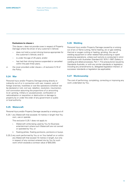### <span id="page-17-0"></span>**Exclusions to clause v**

This clause v. does not provide cover in respect of Property Damage where the driver of any customer's Vehicle:

- does not hold a current driving licence appropriate for the customer's Vehicle; and/ or
- is under the age of 25 years; and/or
- has had their driving licence suspended or cancelled within the past three years;
- vi. the cover provided under clause v. of exclusion 5.19 of the Policy.

# **5.24 War**

Personal Injury and/or Property Damage arising directly or indirectly out of or in connection with war, invasion, acts of foreign enemies, hostilities or war-like operations (whether war be declared or not), civil war, rebellion, revolution, insurrection, civil commotion assuming the proportions of or amounting to an uprising, military or usurped power, confiscation or nationalisation or requisition or destruction or damage to property by or under the order of any government or public or local authority.

# **5.25 Watercraft**

Personal Injury and/or Property Damage caused by or arising out of:

5.25.1 any Watercraft that exceeds 10 metres in length that You own, use or operate.

This exclusion 5.25.1 does not apply to:

- Watercraft while being used by You for Business entertainment where such Watercraft are not owned or operated by You; or
- ii. floating jetties, floating pontoons, pontoons or buoys.
- 5.25.2 any work performed by You or on Your behalf on or within any Watercraft that exceed 10 metres in length, but only in respect of any contract entered into by You for such work which exceeds a contract value of \$50,000.

### **5.26 Welding**

Personal Injury and/or Property Damage caused by or arising out of arc or flame cutting, flame heating, arc or gas welding, thermal or oxygen cutting or heating, grinding, the use of welding equipment or other related heat producing or spark producing operations, unless such activity is conducted in strict compliance with Australian Standard AS 1674.1-1997 (Safety in welding and allied processes, Part 1: Fire precautions) issued by Standards Australia, or with any similar standards or legislation, including any amendments to, delegated legislation thereof, or successor standards or legislation (as applicable).

### **5.27 Workmanship**

The cost of performing, completing, correcting or improving any work undertaken by You.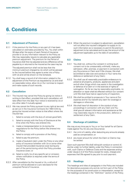# <span id="page-18-0"></span>**6. Conditions**

# **6.1 Adjustment of Premium**

6.1.1 If the premium for the Policy or any part of it has been calculated on estimates provided by You, You shall within 30 days after the expiry of each Period of Insurance provide to Us any information relevant to the Policy as We may reasonably require to calculate any applicable premium adjustment. The premium for the Period of Insurance shall then be adjusted and any difference will be payable by or returned to the Insured as the case may be.

> The adjusted premium shall not be less than the minimum premium charged by Us which will be advised to the Insured before they agree to enter into a Policy with Us and will be shown on the Schedule.

6.1.2 You shall keep a record of all information related to the adjustment of the Premium as requested by Us and shall on reasonable notice, allow Us or Our nominee to inspect and make copies of such records.

# **6.2 Cancellation**

- 6.2.1 The Insured may cancel the Policy by giving Us notice in writing to that effect, provided that such cancellation will take effect from the date Your notice is received by Us or any other date if mutually agreed.
- 6.2.2 We may cancel the Policy pursuant to any right at law and as set out in the Insurance Contracts Act 1984 (Cth) by giving the Insured written notice to that effect where the Insured has:
	- i. failed to comply with the duty of utmost good faith;
	- ii. failed to comply with the Duty of Disclosure at the time when the Policy was entered into;
	- iii. made a misrepresentation to Us during the negotiations for the Policy before We entered into the Policy;
	- iv. failed to comply with a provision of the Policy;
	- v. failed to pay the premium;
	- vi. made a fraudulent claim under the Policy or any other policy of insurance (whether with Us or some other insurer) that provided insurance cover during any part of the period during which the Policy provides insurance cover; or
	- vii. failed to notify Us of any specific act or omission where notification is required under the terms of the Policy.
- 6.2.3 After cancellation by the Insured or Us, a refund of premium will be allowed on a pro rata basis for the unexpired Period of Insurance.

6.2.4 When the premium is subject to adjustment, cancellation will not affect the Insured's obligation to supply to Us such information as is necessary to permit the premium adjustment to be calculated and to pay the amount of the adjustment applicable up to the date of cancellation.

### **6.3 Claims**

- 6.3.1 You shall not, without Our consent in writing (such consent not to be unreasonably withheld), make any admission, offer, promise, or payment in connection with any Occurrence or Claim and if We choose, We shall be entitled to take over and conduct in Your name the defence or settlement of any Claim;
- 6.3.2 You shall use all reasonably practicable endeavours to preserve all property, products, appliances and plant and all other things which may assist in the investigation or defence of a Claim or in the exercise of rights of subrogation. So far as may be reasonably practicable, no alteration or repair shall be effected without Our consent until We shall have had an opportunity of inspection;
- 6.3.3 We shall be entitled to prosecute in Your name at Our expense and for Our benefit any claim for coverage or damages or otherwise;
- 6.3.4 We shall have full discretion in the conduct of any proceedings in connection with any Claim and You shall give all relevant information and assistance as We may reasonably require in the prosecution, defence or settlement of any Claim.

# **6.4 Discharge of Liabilities**

We may at any time pay to You or on Your behalf for all Claims made against You for any one Occurrence:

- 6.4.1 the Limit of Liability, after deducting any amounts already paid as compensation; or
- 6.4.2 any lower amount for which the Claim or Claims may be settled.

Upon such payment We shall relinquish conduct or control of, and be under no further liability under the Policy in connection with, such Claims or Defence Costs and the expenses arising under clause 2.2 of this Policy except for costs, charges and expenses that We agreed to pay prior to such payment.

### **6.5 Headings**

The headings and titles of paragraphs in the Policy are included for descriptive purposes only and do not form part of the Policy for the purposes of its construction or interpretation, except for the headings contained in the "Definition" section of the Policy.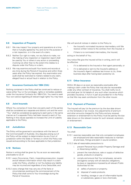### <span id="page-19-0"></span>**6.6 Inspection of Property**

- 6.6.1 We may inspect Your property and operations at a time that is mutually agreed by You and Us for the purpose of a risk inspection, or in the event of a claim;
- 6.6.2 Neither Our right to make, nor any failure to make, nor the making of any inspection or inspection report shall be used by You or others in any action or proceeding involving Us other than to the extent this relates to a dispute under the Policy or a claim;
- 6.6.3 We may examine and audit Your books and records at any time during the Period of Insurance and within three years after the Policy has expired. Any examination and audit shall be restricted to matters related to any claim, alleged fraud or actual fraud in relation to the Policy.

# **6.7 Insurance Contracts Act 1984 (Cth)**

Nothing contained in the Policy shall be construed to reduce or waive either Your or Our privileges, rights or remedies available under the Insurance Contracts Act 1984 (Cth). You need to seek Your own advice regarding all relevant legal rights You may have.

# **6.8 Joint Insureds**

Where You comprise of more than one party each of the parties shall be considered as a separate and distinct unit and the word "You" shall be considered as applying to each party in the same manner as if a separate Policy had been issued to each of You. Nothing in this clause operates to increase the Limit of Liability applicable to the Policy.

### **6.9 Jurisdiction**

The Policy will be governed in accordance with the laws of the Commonwealth of Australia. Any disputes arising out of the Policy will be subject to determination by any Court of jurisdiction within the State or Territory in which the Policy was issued and according to the laws applicable to that jurisdiction.

# **6.10 Notices**

Notice in writing shall be given by You as soon as reasonably practicable to Us of:

- 6.10.1 every Occurrence, Claim, impending prosecution, inquest and all relevant information which may result in a claim under the Policy, whether or not You believe any liability may be incurred and regardless of any Deductible; and
- 6.10.2 every change that may vary any of the facts or circumstances existing at the commencement of the Policy that shall come to Your knowledge during the Period of Insurance.

We will send all notices in relation to the Policy to:

- i. the Insured's nominated insurance intermediary until We receive written notice to the contrary from the Insured; or
- ii. if there is no nominated intermediary, the Insured,

acting on the behalf of You.

Any notice We give the Insured will be in writing, and it will be effective:

- i. if it is delivered to the Insured or their agent personally; or
- ii. if it is delivered or sent to the Insured's address or the Insured's Agent's address last known to Us, three business days after having been posted by Us.

### **6.11 Other Insurance**

Within 30 days or as soon as reasonably practicable after making a claim under the Policy that may also be recoverable under any other contract of insurance, You shall notify Us of, and shall give Us full details of, any such other insurance which provides insurance, in full or in part as provided for in the Policy so that We may seek contribution from the other insurer.

### **6.12 Payment of Premium**

The Insured will pay Us the premium by the due date shown on the Schedule or tax invoice. Any adjustments of premium and other amounts charged for the Policy and any renewal, extension or endorsement to this Policy must be paid by the due date shown on the relevant invoice for such renewal, extension, or endorsement.

# **6.13 Reasonable Care**

You shall:

- 6.13.1 exercise reasonable care that only competent employees are employed and take reasonable measures to maintain all premises, fittings and plant in sound condition;
- 6.13.2 take all reasonable precautions to:
	- prevent Personal Injury and/or Property Damage and/ or Advertising Liability;
	- ii. prevent the manufacture, sale or supply of defective goods, products or property;
	- iii. comply and ensure that Your employees, servants and agents comply with all statutory obligations, by-laws or regulations imposed by all relevant Public Authorities for the:
		- a) safety of persons or property;
		- b) disposal of waste products;
		- c) handling, storage or use of inflammable liquids or substances, gases or toxic chemicals;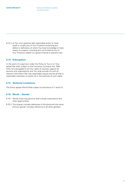<span id="page-20-0"></span>6.13.3 at Your own expense take reasonable action to trace, recall or modify any of Your Products containing any defect or deficiency of which You have knowledge or have reason to suspect, including (but not limited to) any of Your Products subject to a governmental or statutory ban.

### **6.14 Subrogation**

In the event of a payment under the Policy to You or on Your behalf We shall, subject to the Insurance Contracts Act 1984 (Cth), be subrogated to all Your rights of recovery against all persons and organisations and You shall provide Us with all relevant information We may reasonably require and do all that is reasonably necessary to assist Us in the exercise of such rights.

# **6.15 Territorial Limitations**

The Policy applies World-Wide subject to exclusions 5.11 and 5.21.

# **6.16 Words – Gender**

- 6.16.1 Words importing persons shall include corporations and other legal entities.
- 6.16.2 The singular includes references to the plural and vice versa and any gender includes reference to all other genders.